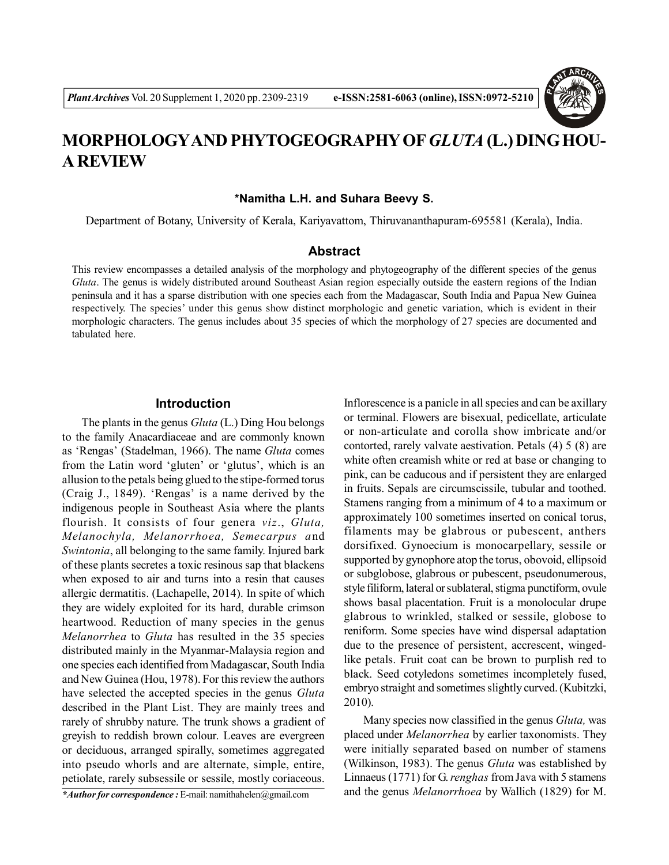

# **MORPHOLOGYAND PHYTOGEOGRAPHY OF***GLUTA* **(L.) DING HOU-A REVIEW**

**\*Namitha L.H. and Suhara Beevy S.**

Department of Botany, University of Kerala, Kariyavattom, Thiruvananthapuram-695581 (Kerala), India.

### **Abstract**

This review encompasses a detailed analysis of the morphology and phytogeography of the different species of the genus *Gluta*. The genus is widely distributed around Southeast Asian region especially outside the eastern regions of the Indian peninsula and it has a sparse distribution with one species each from the Madagascar, South India and Papua New Guinea respectively. The species' under this genus show distinct morphologic and genetic variation, which is evident in their morphologic characters. The genus includes about 35 species of which the morphology of 27 species are documented and tabulated here.

#### **Introduction**

The plants in the genus *Gluta* (L.) Ding Hou belongs to the family Anacardiaceae and are commonly known as 'Rengas' (Stadelman, 1966). The name *Gluta* comes from the Latin word 'gluten' or 'glutus', which is an allusion to the petals being glued to the stipe-formed torus (Craig J., 1849). 'Rengas' is a name derived by the indigenous people in Southeast Asia where the plants flourish. It consists of four genera *viz*., *Gluta, Melanochyla, Melanorrhoea, Semecarpus a*nd *Swintonia*, all belonging to the same family. Injured bark of these plants secretes a toxic resinous sap that blackens when exposed to air and turns into a resin that causes allergic dermatitis. (Lachapelle, 2014). In spite of which they are widely exploited for its hard, durable crimson heartwood. Reduction of many species in the genus *Melanorrhea* to *Gluta* has resulted in the 35 species distributed mainly in the Myanmar-Malaysia region and one species each identified from Madagascar, South India and New Guinea (Hou, 1978). For this review the authors have selected the accepted species in the genus *Gluta* described in the Plant List. They are mainly trees and rarely of shrubby nature. The trunk shows a gradient of greyish to reddish brown colour. Leaves are evergreen or deciduous, arranged spirally, sometimes aggregated into pseudo whorls and are alternate, simple, entire, petiolate, rarely subsessile or sessile, mostly coriaceous.

*\*Author for correspondence :* E-mail: namithahelen@gmail.com

Inflorescence is a panicle in all species and can be axillary or terminal. Flowers are bisexual, pedicellate, articulate or non-articulate and corolla show imbricate and/or contorted, rarely valvate aestivation. Petals (4) 5 (8) are white often creamish white or red at base or changing to pink, can be caducous and if persistent they are enlarged in fruits. Sepals are circumscissile, tubular and toothed. Stamens ranging from a minimum of 4 to a maximum or approximately 100 sometimes inserted on conical torus, filaments may be glabrous or pubescent, anthers dorsifixed. Gynoecium is monocarpellary, sessile or supported by gynophore atop the torus, obovoid, ellipsoid or subglobose, glabrous or pubescent, pseudonumerous, style filiform, lateral or sublateral, stigma punctiform, ovule shows basal placentation. Fruit is a monolocular drupe glabrous to wrinkled, stalked or sessile, globose to reniform. Some species have wind dispersal adaptation due to the presence of persistent, accrescent, wingedlike petals. Fruit coat can be brown to purplish red to black. Seed cotyledons sometimes incompletely fused, embryo straight and sometimes slightly curved. (Kubitzki, 2010).

Many species now classified in the genus *Gluta,* was placed under *Melanorrhea* by earlier taxonomists. They were initially separated based on number of stamens (Wilkinson, 1983). The genus *Gluta* was established by Linnaeus (1771) for G. *renghas* from Java with 5 stamens and the genus *Melanorrhoea* by Wallich (1829) for M.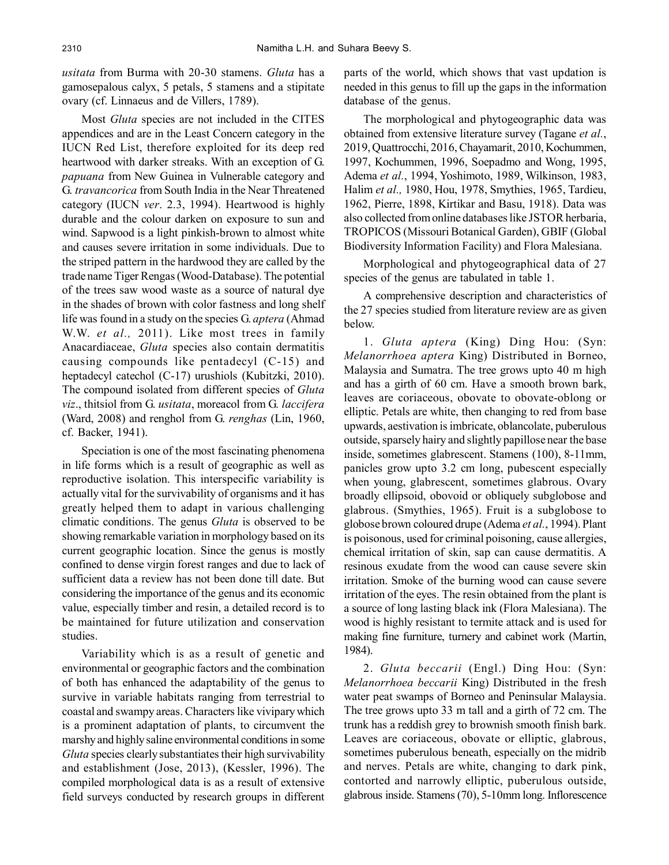*usitata* from Burma with 20-30 stamens. *Gluta* has a gamosepalous calyx, 5 petals, 5 stamens and a stipitate ovary (cf. Linnaeus and de Villers, 1789).

Most *Gluta* species are not included in the CITES appendices and are in the Least Concern category in the IUCN Red List, therefore exploited for its deep red heartwood with darker streaks. With an exception of G. *papuana* from New Guinea in Vulnerable category and G. *travancorica* from South India in the Near Threatened category (IUCN *ver*. 2.3, 1994). Heartwood is highly durable and the colour darken on exposure to sun and wind. Sapwood is a light pinkish-brown to almost white and causes severe irritation in some individuals. Due to the striped pattern in the hardwood they are called by the trade name Tiger Rengas (Wood-Database). The potential of the trees saw wood waste as a source of natural dye in the shades of brown with color fastness and long shelf life was found in a study on the species G. *aptera* (Ahmad W.W. *et al.,* 2011). Like most trees in family Anacardiaceae, *Gluta* species also contain dermatitis causing compounds like pentadecyl (C-15) and heptadecyl catechol (C-17) urushiols (Kubitzki, 2010). The compound isolated from different species of *Gluta viz*., thitsiol from G. *usitata*, moreacol from G. *laccifera* (Ward, 2008) and renghol from G. *renghas* (Lin, 1960, cf. Backer, 1941).

Speciation is one of the most fascinating phenomena in life forms which is a result of geographic as well as reproductive isolation. This interspecific variability is actually vital for the survivability of organisms and it has greatly helped them to adapt in various challenging climatic conditions. The genus *Gluta* is observed to be showing remarkable variation in morphology based on its current geographic location. Since the genus is mostly confined to dense virgin forest ranges and due to lack of sufficient data a review has not been done till date. But considering the importance of the genus and its economic value, especially timber and resin, a detailed record is to be maintained for future utilization and conservation studies.

Variability which is as a result of genetic and environmental or geographic factors and the combination of both has enhanced the adaptability of the genus to survive in variable habitats ranging from terrestrial to coastal and swampy areas. Characters like vivipary which is a prominent adaptation of plants, to circumvent the marshy and highly saline environmental conditions in some *Gluta* species clearly substantiates their high survivability and establishment (Jose, 2013), (Kessler, 1996). The compiled morphological data is as a result of extensive field surveys conducted by research groups in different parts of the world, which shows that vast updation is needed in this genus to fill up the gaps in the information database of the genus.

The morphological and phytogeographic data was obtained from extensive literature survey (Tagane *et al.*, 2019, Quattrocchi, 2016, Chayamarit, 2010, Kochummen, 1997, Kochummen, 1996, Soepadmo and Wong, 1995, Adema *et al.*, 1994, Yoshimoto, 1989, Wilkinson, 1983, Halim *et al.,* 1980, Hou, 1978, Smythies, 1965, Tardieu, 1962, Pierre, 1898, Kirtikar and Basu, 1918). Data was also collected from online databases like JSTOR herbaria, TROPICOS (Missouri Botanical Garden), GBIF (Global Biodiversity Information Facility) and Flora Malesiana.

Morphological and phytogeographical data of 27 species of the genus are tabulated in table 1.

A comprehensive description and characteristics of the 27 species studied from literature review are as given below.

1. *Gluta aptera* (King) Ding Hou: (Syn: *Melanorrhoea aptera* King) Distributed in Borneo, Malaysia and Sumatra. The tree grows upto 40 m high and has a girth of 60 cm. Have a smooth brown bark, leaves are coriaceous, obovate to obovate-oblong or elliptic. Petals are white, then changing to red from base upwards, aestivation is imbricate, oblancolate, puberulous outside, sparsely hairy and slightly papillose near the base inside, sometimes glabrescent. Stamens (100), 8-11mm, panicles grow upto 3.2 cm long, pubescent especially when young, glabrescent, sometimes glabrous. Ovary broadly ellipsoid, obovoid or obliquely subglobose and glabrous. (Smythies, 1965). Fruit is a subglobose to globose brown coloured drupe (Adema *et al.*, 1994). Plant is poisonous, used for criminal poisoning, cause allergies, chemical irritation of skin, sap can cause dermatitis. A resinous exudate from the wood can cause severe skin irritation. Smoke of the burning wood can cause severe irritation of the eyes. The resin obtained from the plant is a source of long lasting black ink (Flora Malesiana). The wood is highly resistant to termite attack and is used for making fine furniture, turnery and cabinet work (Martin, 1984).

2. *Gluta beccarii* (Engl.) Ding Hou: (Syn: *Melanorrhoea beccarii* King) Distributed in the fresh water peat swamps of Borneo and Peninsular Malaysia. The tree grows upto 33 m tall and a girth of 72 cm. The trunk has a reddish grey to brownish smooth finish bark. Leaves are coriaceous, obovate or elliptic, glabrous, sometimes puberulous beneath, especially on the midrib and nerves. Petals are white, changing to dark pink, contorted and narrowly elliptic, puberulous outside, glabrous inside. Stamens (70), 5-10mm long. Inflorescence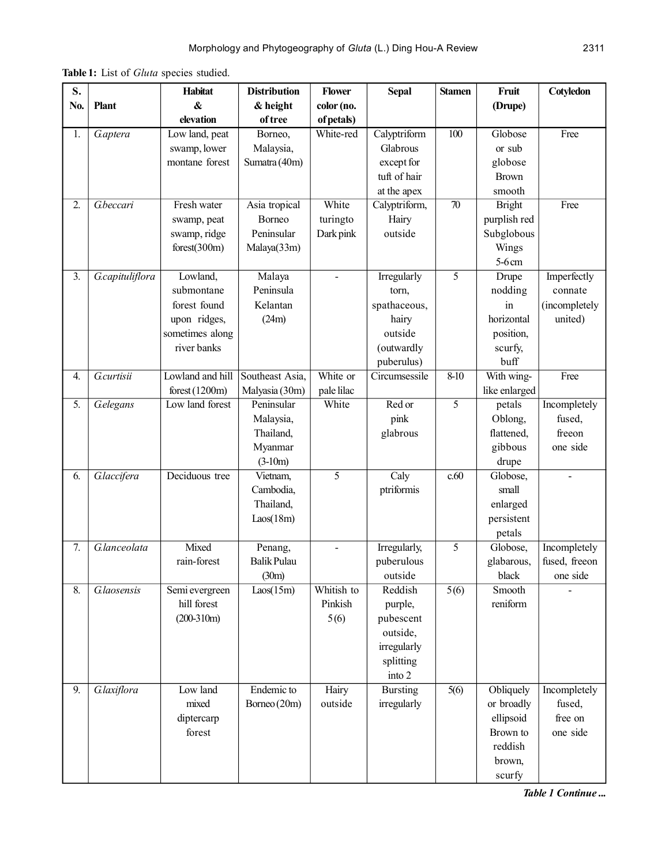**Table 1:** List of *Gluta* species studied.

| S.               |                    | <b>Habitat</b>   | <b>Distribution</b>   | <b>Flower</b>  | <b>Sepal</b>    | <b>Stamen</b>   | Fruit         | Cotyledon     |
|------------------|--------------------|------------------|-----------------------|----------------|-----------------|-----------------|---------------|---------------|
| No.              | <b>Plant</b>       | &                | & height              | color (no.     |                 |                 | (Drupe)       |               |
|                  |                    | elevation        | of tree               | of petals)     |                 |                 |               |               |
| 1.               | G.aptera           | Low land, peat   | Borneo,               | White-red      | Calyptriform    | 100             | Globose       | Free          |
|                  |                    | swamp, lower     | Malaysia,             |                | Glabrous        |                 | or sub        |               |
|                  |                    | montane forest   | Sumatra (40m)         |                | except for      |                 | globose       |               |
|                  |                    |                  |                       |                | tuft of hair    |                 | <b>Brown</b>  |               |
|                  |                    |                  |                       |                | at the apex     |                 | smooth        |               |
| $\overline{2}$ . | G.beccari          | Fresh water      | Asia tropical         | White          | Calyptriform,   | $\overline{70}$ | <b>Bright</b> | Free          |
|                  |                    | swamp, peat      | Borneo                | turingto       | Hairy           |                 | purplish red  |               |
|                  |                    | swamp, ridge     | Peninsular            | Dark pink      | outside         |                 | Subglobous    |               |
|                  |                    | forest(300m)     | Malaya(33m)           |                |                 |                 | Wings         |               |
|                  |                    |                  |                       |                |                 |                 | $5-6$ cm      |               |
| $\overline{3}$ . | G.capituliflora    | Lowland,         | Malaya                | $\overline{a}$ | Irregularly     | 5               | Drupe         | Imperfectly   |
|                  |                    | submontane       | Peninsula             |                | torn,           |                 | nodding       | connate       |
|                  |                    | forest found     | Kelantan              |                | spathaceous,    |                 | in            | (incompletely |
|                  |                    | upon ridges,     | (24m)                 |                | hairy           |                 | horizontal    | united)       |
|                  |                    | sometimes along  |                       |                | outside         |                 | position,     |               |
|                  |                    | river banks      |                       |                | (outwardly      |                 | scurfy,       |               |
|                  |                    |                  |                       |                | puberulus)      |                 | buff          |               |
| 4.               | <b>G</b> .curtisii | Lowland and hill | Southeast Asia,       | White or       | Circumsessile   | $8-10$          | With wing-    | Free          |
|                  |                    | forest $(1200m)$ | Malyasia (30m)        | pale lilac     |                 |                 | like enlarged |               |
| 5.               | <b>Gelegans</b>    | Low land forest  | Peninsular            | White          | Red or          | $\overline{5}$  | petals        | Incompletely  |
|                  |                    |                  | Malaysia,             |                | pink            |                 | Oblong,       | fused,        |
|                  |                    |                  | Thailand,             |                | glabrous        |                 | flattened,    | freeon        |
|                  |                    |                  | Myanmar               |                |                 |                 | gibbous       | one side      |
|                  |                    |                  | $(3-10m)$             |                |                 |                 | drupe         |               |
| 6.               | G.laccifera        | Deciduous tree   | Vietnam,              | 5              | Caly            | c.60            | Globose,      |               |
|                  |                    |                  | Cambodia,             |                | ptriformis      |                 | small         |               |
|                  |                    |                  | Thailand,             |                |                 |                 | enlarged      |               |
|                  |                    |                  | Las(18m)              |                |                 |                 | persistent    |               |
|                  |                    |                  |                       |                |                 |                 | petals        |               |
| 7.               | G.lanceolata       | Mixed            | Penang,               |                | Irregularly,    | 5               | Globose,      | Incompletely  |
|                  |                    | rain-forest      | <b>Balik Pulau</b>    |                | puberulous      |                 | glabarous,    | fused, freeon |
|                  |                    |                  | (30m)                 |                | outside         |                 | black         | one side      |
| 8.               | G.laosensis        | Semi evergreen   | $Las(\overline{15m})$ | Whitish to     | Reddish         | 5(6)            | Smooth        |               |
|                  |                    | hill forest      |                       | Pinkish        | purple,         |                 | reniform      |               |
|                  |                    | $(200-310m)$     |                       | 5(6)           | pubescent       |                 |               |               |
|                  |                    |                  |                       |                | outside,        |                 |               |               |
|                  |                    |                  |                       |                | irregularly     |                 |               |               |
|                  |                    |                  |                       |                | splitting       |                 |               |               |
|                  |                    |                  |                       |                | into 2          |                 |               |               |
| 9.               | G.laxiflora        | Low land         | Endemic to            | Hairy          | <b>Bursting</b> | 5(6)            | Obliquely     | Incompletely  |
|                  |                    | mixed            | Borneo (20m)          | outside        | irregularly     |                 | or broadly    | fused,        |
|                  |                    | diptercarp       |                       |                |                 |                 | ellipsoid     | free on       |
|                  |                    | forest           |                       |                |                 |                 | Brown to      | one side      |
|                  |                    |                  |                       |                |                 |                 | reddish       |               |
|                  |                    |                  |                       |                |                 |                 | brown,        |               |
|                  |                    |                  |                       |                |                 |                 | scurfy        |               |

*Table 1 Continue ...*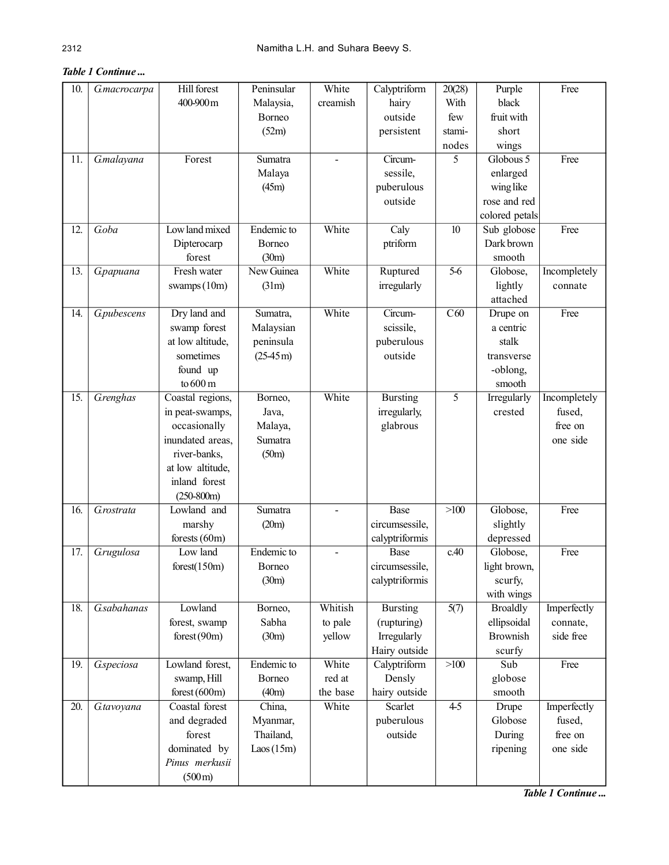## *Table 1 Continue ...*

| 10. | G.macrocarpa        | <b>Hill forest</b>          | Peninsular        | White          | Calyptriform           | 20(28)           | Purple                | Free         |
|-----|---------------------|-----------------------------|-------------------|----------------|------------------------|------------------|-----------------------|--------------|
|     |                     | 400-900 m                   | Malaysia,         | creamish       | hairy                  | With             | black                 |              |
|     |                     |                             | <b>Borneo</b>     |                | outside                | few              | fruit with            |              |
|     |                     |                             | (52m)             |                | persistent             | stami-           | short                 |              |
|     |                     |                             |                   |                |                        | nodes            | wings                 |              |
| 11. | G.malayana          | Forest                      | Sumatra           |                | Circum-                | $\overline{5}$   | Globous 5             | Free         |
|     |                     |                             | Malaya            |                | sessile,               |                  | enlarged              |              |
|     |                     |                             | (45m)             |                | puberulous             |                  | wing like             |              |
|     |                     |                             |                   |                | outside                |                  | rose and red          |              |
|     |                     |                             |                   |                |                        |                  | colored petals        |              |
| 12. | G.oba               | Low land mixed              | Endemic to        | White          | Caly                   | $10$             | Sub globose           | Free         |
|     |                     | Dipterocarp                 | Borneo            |                | ptriform               |                  | Dark brown            |              |
|     |                     | forest                      | (30m)             |                |                        |                  | smooth                |              |
| 13. | G.papuana           | Fresh water                 | New Guinea        | White          | Ruptured               | $5-6$            | Globose,              | Incompletely |
|     |                     | swamps $(10m)$              | (31m)             |                | irregularly            |                  | lightly               | connate      |
|     |                     |                             |                   |                |                        |                  | attached              |              |
| 14. | <b>Gpubescens</b>   | Dry land and                | Sumatra,          | White          | Circum-                | $\overline{C60}$ | Drupe on              | Free         |
|     |                     | swamp forest                | Malaysian         |                | scissile,              |                  | a centric             |              |
|     |                     | at low altitude,            | peninsula         |                | puberulous             |                  | stalk                 |              |
|     |                     | sometimes                   | $(25-45m)$        |                | outside                |                  | transverse            |              |
|     |                     | found up                    |                   |                |                        |                  | -oblong,              |              |
|     |                     | to $600 \text{ m}$          |                   |                |                        |                  | smooth                |              |
| 15. | <b>Grenghas</b>     | Coastal regions,            | Borneo,           | White          | <b>Bursting</b>        | 5                | Irregularly           | Incompletely |
|     |                     | in peat-swamps,             | Java,             |                | irregularly,           |                  | crested               | fused,       |
|     |                     | occasionally                | Malaya,           |                | glabrous               |                  |                       | free on      |
|     |                     | inundated areas,            | Sumatra           |                |                        |                  |                       | one side     |
|     |                     | river-banks,                | (50m)             |                |                        |                  |                       |              |
|     |                     | at low altitude,            |                   |                |                        |                  |                       |              |
|     |                     | inland forest               |                   |                |                        |                  |                       |              |
|     |                     | $(250-800m)$                |                   |                |                        |                  |                       |              |
| 16. | G.rostrata          | Lowland and                 | Sumatra           | $\blacksquare$ | Base                   | >100             | Globose,              | Free         |
|     |                     | marshy                      | (20m)             |                | circumsessile,         |                  | slightly              |              |
|     | <b>G</b> rugulosa   | forests $(60m)$<br>Low land | <b>Endemic</b> to |                | calyptriformis<br>Base | c.40             | depressed<br>Globose, | Free         |
| 17. |                     |                             | <b>Borneo</b>     |                | circumsessile,         |                  | light brown,          |              |
|     |                     | forest(150m)                | (30m)             |                | calyptriformis         |                  | scurfy,               |              |
|     |                     |                             |                   |                |                        |                  | with wings            |              |
| 18. | <b>G</b> .sabahanas | Lowland                     | Borneo,           | Whitish        | <b>Bursting</b>        | 5(7)             | <b>Broaldly</b>       | Imperfectly  |
|     |                     | forest, swamp               | Sabha             | to pale        | (rupturing)            |                  | ellipsoidal           | connate,     |
|     |                     | forest(90m)                 | (30m)             | yellow         | Irregularly            |                  | <b>Brownish</b>       | side free    |
|     |                     |                             |                   |                | Hairy outside          |                  | scurfy                |              |
| 19. | Gspeciosa           | Lowland forest,             | Endemic to        | White          | Calyptriform           | $>100$           | Sub                   | Free         |
|     |                     | swamp, Hill                 | Borneo            | red at         | Densly                 |                  | globose               |              |
|     |                     | forest $(600m)$             | (40m)             | the base       | hairy outside          |                  | smooth                |              |
| 20. | G.tavoyana          | Coastal forest              | China,            | White          | Scarlet                | $4-5$            | Drupe                 | Imperfectly  |
|     |                     | and degraded                | Myanmar,          |                | puberulous             |                  | Globose               | fused,       |
|     |                     | forest                      | Thailand,         |                | outside                |                  | During                | free on      |
|     |                     | dominated by                | Laos(15m)         |                |                        |                  | ripening              | one side     |
|     |                     | Pinus merkusii              |                   |                |                        |                  |                       |              |
|     |                     |                             |                   |                |                        |                  |                       |              |

*Table 1 Continue ...*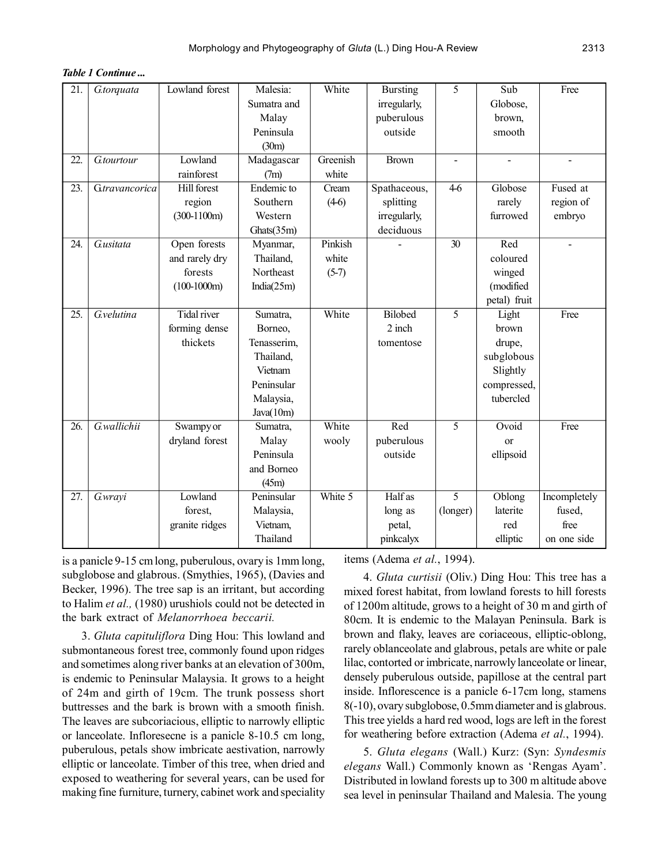*Table 1 Continue ...*

| 21.               | G.torquata    | Lowland forest     | Malesia:    | White    | <b>Bursting</b> | 5               | Sub                     | Free           |
|-------------------|---------------|--------------------|-------------|----------|-----------------|-----------------|-------------------------|----------------|
|                   |               |                    | Sumatra and |          | irregularly,    |                 | Globose,                |                |
|                   |               |                    | Malay       |          | puberulous      |                 | brown,                  |                |
|                   |               |                    | Peninsula   |          | outside         |                 | smooth                  |                |
|                   |               |                    | (30m)       |          |                 |                 |                         |                |
| 22.               | G.tourtour    | Lowland            | Madagascar  | Greenish | <b>Brown</b>    | $\blacksquare$  | L,                      | $\blacksquare$ |
|                   |               | rainforest         | (7m)        | white    |                 |                 |                         |                |
| 23.               | Gtravancorica | <b>Hill forest</b> | Endemic to  | Cream    | Spathaceous,    | $4-6$           | Globose                 | Fused at       |
|                   |               | region             | Southern    | $(4-6)$  | splitting       |                 | rarely                  | region of      |
|                   |               | $(300-1100m)$      | Western     |          | irregularly,    |                 | furrowed                | embryo         |
|                   |               |                    | Ghats(35m)  |          | deciduous       |                 |                         |                |
| 24.               | Gusitata      | Open forests       | Myanmar,    | Pinkish  |                 | $\overline{30}$ | $\overline{\text{Red}}$ |                |
|                   |               | and rarely dry     | Thailand,   | white    |                 |                 | coloured                |                |
|                   |               | forests            | Northeast   | $(5-7)$  |                 |                 | winged                  |                |
|                   |               | $(100-1000m)$      | India(25m)  |          |                 |                 | (modified               |                |
|                   |               |                    |             |          |                 |                 | petal) fruit            |                |
| $\overline{25}$ . | $G$ velutina  | <b>Tidal</b> river | Sumatra,    | White    | Bilobed         | $\overline{5}$  | Light                   | Free           |
|                   |               | forming dense      | Borneo,     |          | 2 inch          |                 | brown                   |                |
|                   |               | thickets           | Tenasserim, |          | tomentose       |                 | drupe,                  |                |
|                   |               |                    | Thailand,   |          |                 |                 | subglobous              |                |
|                   |               |                    | Vietnam     |          |                 |                 | Slightly                |                |
|                   |               |                    | Peninsular  |          |                 |                 | compressed,             |                |
|                   |               |                    | Malaysia,   |          |                 |                 | tubercled               |                |
|                   |               |                    | Java(10m)   |          |                 |                 |                         |                |
| 26.               | G.wallichii   | Swampy or          | Sumatra,    | White    | Red             | $\overline{5}$  | Ovoid                   | Free           |
|                   |               | dryland forest     | Malay       | wooly    | puberulous      |                 | <sub>or</sub>           |                |
|                   |               |                    | Peninsula   |          | outside         |                 | ellipsoid               |                |
|                   |               |                    | and Borneo  |          |                 |                 |                         |                |
|                   |               |                    | (45m)       |          |                 |                 |                         |                |
| 27.               | G.wrayi       | Lowland            | Peninsular  | White 5  | Half as         | $\overline{5}$  | Oblong                  | Incompletely   |
|                   |               | forest,            | Malaysia,   |          | long as         | (longer)        | laterite                | fused,         |
|                   |               | granite ridges     | Vietnam,    |          | petal,          |                 | red                     | free           |
|                   |               |                    | Thailand    |          | pinkcalyx       |                 | elliptic                | on one side    |

is a panicle 9-15 cm long, puberulous, ovary is 1mm long, subglobose and glabrous. (Smythies, 1965), (Davies and Becker, 1996). The tree sap is an irritant, but according to Halim *et al.,* (1980) urushiols could not be detected in the bark extract of *Melanorrhoea beccarii.*

3. *Gluta capituliflora* Ding Hou: This lowland and submontaneous forest tree, commonly found upon ridges and sometimes along river banks at an elevation of 300m, is endemic to Peninsular Malaysia. It grows to a height of 24m and girth of 19cm. The trunk possess short buttresses and the bark is brown with a smooth finish. The leaves are subcoriacious, elliptic to narrowly elliptic or lanceolate. Infloresecne is a panicle 8-10.5 cm long, puberulous, petals show imbricate aestivation, narrowly elliptic or lanceolate. Timber of this tree, when dried and exposed to weathering for several years, can be used for making fine furniture, turnery, cabinet work and speciality items (Adema *et al.*, 1994).

4. *Gluta curtisii* (Oliv.) Ding Hou: This tree has a mixed forest habitat, from lowland forests to hill forests of 1200m altitude, grows to a height of 30 m and girth of 80cm. It is endemic to the Malayan Peninsula. Bark is brown and flaky, leaves are coriaceous, elliptic-oblong, rarely oblanceolate and glabrous, petals are white or pale lilac, contorted or imbricate, narrowly lanceolate or linear, densely puberulous outside, papillose at the central part inside. Inflorescence is a panicle 6-17cm long, stamens 8(-10), ovary subglobose, 0.5mm diameter and is glabrous. This tree yields a hard red wood, logs are left in the forest for weathering before extraction (Adema *et al.*, 1994).

5. *Gluta elegans* (Wall.) Kurz: (Syn: *Syndesmis elegans* Wall.) Commonly known as 'Rengas Ayam'. Distributed in lowland forests up to 300 m altitude above sea level in peninsular Thailand and Malesia. The young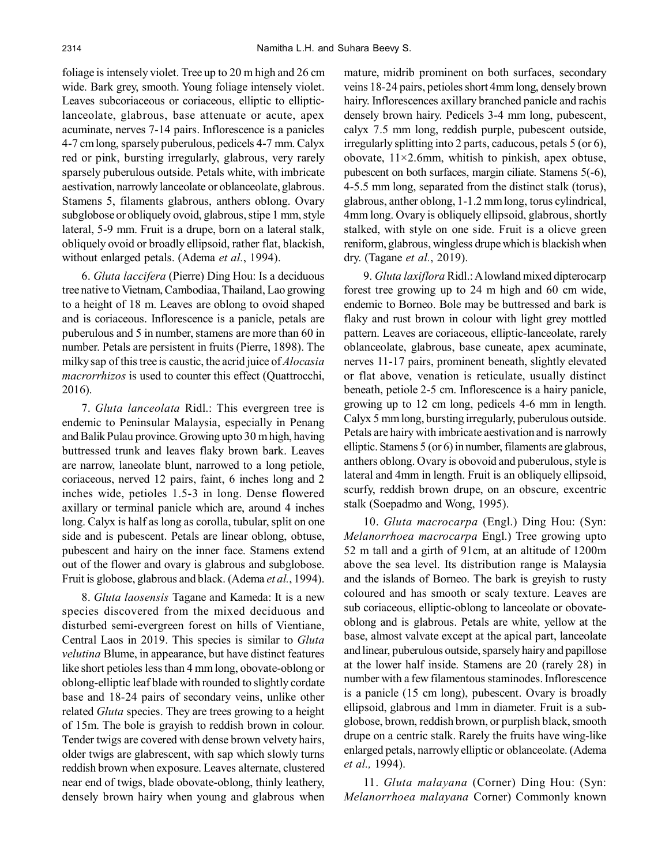foliage is intensely violet. Tree up to 20 m high and 26 cm wide. Bark grey, smooth. Young foliage intensely violet. Leaves subcoriaceous or coriaceous, elliptic to ellipticlanceolate, glabrous, base attenuate or acute, apex acuminate, nerves 7-14 pairs. Inflorescence is a panicles 4-7 cm long, sparsely puberulous, pedicels 4-7 mm. Calyx red or pink, bursting irregularly, glabrous, very rarely sparsely puberulous outside. Petals white, with imbricate aestivation, narrowly lanceolate or oblanceolate, glabrous. Stamens 5, filaments glabrous, anthers oblong. Ovary subglobose or obliquely ovoid, glabrous, stipe 1 mm, style lateral, 5-9 mm. Fruit is a drupe, born on a lateral stalk, obliquely ovoid or broadly ellipsoid, rather flat, blackish, without enlarged petals. (Adema *et al.*, 1994).

6. *Gluta laccifera* (Pierre) Ding Hou: Is a deciduous tree native to Vietnam, Cambodiaa, Thailand, Lao growing to a height of 18 m. Leaves are oblong to ovoid shaped and is coriaceous. Inflorescence is a panicle, petals are puberulous and 5 in number, stamens are more than 60 in number. Petals are persistent in fruits (Pierre, 1898). The milky sap of this tree is caustic, the acrid juice of *Alocasia macrorrhizos* is used to counter this effect (Quattrocchi, 2016).

7. *Gluta lanceolata* Ridl.: This evergreen tree is endemic to Peninsular Malaysia, especially in Penang and Balik Pulau province. Growing upto 30 m high, having buttressed trunk and leaves flaky brown bark. Leaves are narrow, laneolate blunt, narrowed to a long petiole, coriaceous, nerved 12 pairs, faint, 6 inches long and 2 inches wide, petioles 1.5-3 in long. Dense flowered axillary or terminal panicle which are, around 4 inches long. Calyx is half as long as corolla, tubular, split on one side and is pubescent. Petals are linear oblong, obtuse, pubescent and hairy on the inner face. Stamens extend out of the flower and ovary is glabrous and subglobose. Fruit is globose, glabrous and black. (Adema *et al.*, 1994).

8. *Gluta laosensis* Tagane and Kameda: It is a new species discovered from the mixed deciduous and disturbed semi-evergreen forest on hills of Vientiane, Central Laos in 2019. This species is similar to *Gluta velutina* Blume, in appearance, but have distinct features like short petioles less than 4 mm long, obovate-oblong or oblong-elliptic leaf blade with rounded to slightly cordate base and 18-24 pairs of secondary veins, unlike other related *Gluta* species. They are trees growing to a height of 15m. The bole is grayish to reddish brown in colour. Tender twigs are covered with dense brown velvety hairs, older twigs are glabrescent, with sap which slowly turns reddish brown when exposure. Leaves alternate, clustered near end of twigs, blade obovate-oblong, thinly leathery, densely brown hairy when young and glabrous when mature, midrib prominent on both surfaces, secondary veins 18-24 pairs, petioles short 4mm long, densely brown hairy. Inflorescences axillary branched panicle and rachis densely brown hairy. Pedicels 3-4 mm long, pubescent, calyx 7.5 mm long, reddish purple, pubescent outside, irregularly splitting into 2 parts, caducous, petals 5 (or 6), obovate,  $11\times2.6$ mm, whitish to pinkish, apex obtuse, pubescent on both surfaces, margin ciliate. Stamens 5(-6), 4-5.5 mm long, separated from the distinct stalk (torus), glabrous, anther oblong, 1-1.2 mm long, torus cylindrical, 4mm long. Ovary is obliquely ellipsoid, glabrous, shortly stalked, with style on one side. Fruit is a olicve green reniform, glabrous, wingless drupe which is blackish when dry. (Tagane *et al.*, 2019).

9. *Gluta laxiflora* Ridl.: A lowland mixed dipterocarp forest tree growing up to 24 m high and 60 cm wide, endemic to Borneo. Bole may be buttressed and bark is flaky and rust brown in colour with light grey mottled pattern. Leaves are coriaceous, elliptic-lanceolate, rarely oblanceolate, glabrous, base cuneate, apex acuminate, nerves 11-17 pairs, prominent beneath, slightly elevated or flat above, venation is reticulate, usually distinct beneath, petiole 2-5 cm. Inflorescence is a hairy panicle, growing up to 12 cm long, pedicels 4-6 mm in length. Calyx 5 mm long, bursting irregularly, puberulous outside. Petals are hairy with imbricate aestivation and is narrowly elliptic. Stamens 5 (or 6) in number, filaments are glabrous, anthers oblong. Ovary is obovoid and puberulous, style is lateral and 4mm in length. Fruit is an obliquely ellipsoid, scurfy, reddish brown drupe, on an obscure, excentric stalk (Soepadmo and Wong, 1995).

10. *Gluta macrocarpa* (Engl.) Ding Hou: (Syn: *Melanorrhoea macrocarpa* Engl.) Tree growing upto 52 m tall and a girth of 91cm, at an altitude of 1200m above the sea level. Its distribution range is Malaysia and the islands of Borneo. The bark is greyish to rusty coloured and has smooth or scaly texture. Leaves are sub coriaceous, elliptic-oblong to lanceolate or obovateoblong and is glabrous. Petals are white, yellow at the base, almost valvate except at the apical part, lanceolate and linear, puberulous outside, sparsely hairy and papillose at the lower half inside. Stamens are 20 (rarely 28) in number with a few filamentous staminodes. Inflorescence is a panicle (15 cm long), pubescent. Ovary is broadly ellipsoid, glabrous and 1mm in diameter. Fruit is a subglobose, brown, reddish brown, or purplish black, smooth drupe on a centric stalk. Rarely the fruits have wing-like enlarged petals, narrowly elliptic or oblanceolate. (Adema *et al.,* 1994).

11. *Gluta malayana* (Corner) Ding Hou: (Syn: *Melanorrhoea malayana* Corner) Commonly known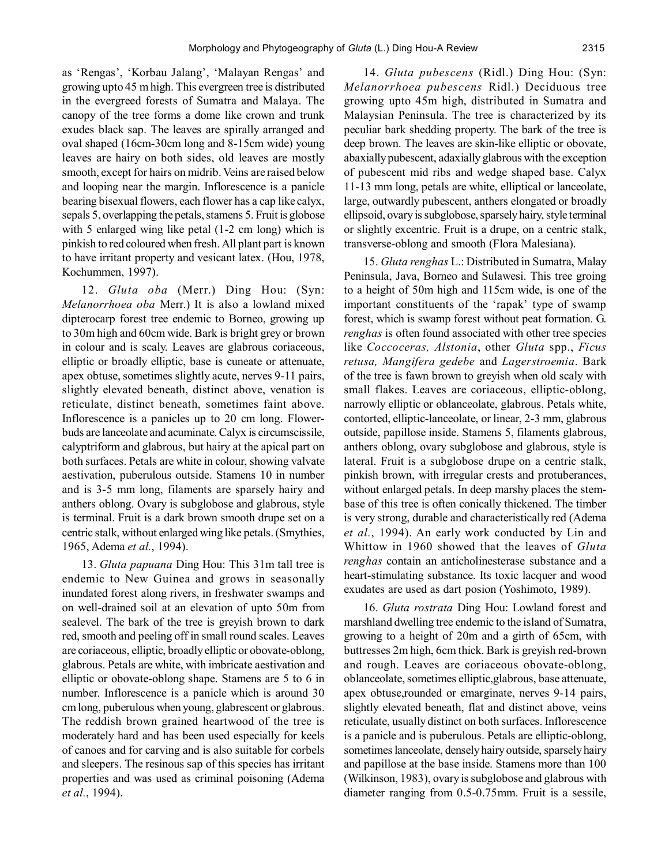as 'Rengas', 'Korbau Jalang', 'Malayan Rengas' and growing upto 45 m high. This evergreen tree is distributed in the evergreed forests of Sumatra and Malaya. The canopy of the tree forms a dome like crown and trunk exudes black sap. The leaves are spirally arranged and oval shaped (16cm-30cm long and 8-15cm wide) young leaves are hairy on both sides, old leaves are mostly smooth, except for hairs on midrib. Veins are raised below and looping near the margin. Inflorescence is a panicle bearing bisexual flowers, each flower has a cap like calyx, sepals 5, overlapping the petals, stamens 5. Fruit is globose with 5 enlarged wing like petal (1-2 cm long) which is pinkish to red coloured when fresh. All plant part is known to have irritant property and vesicant latex. (Hou, 1978, Kochummen, 1997).

12. *Gluta oba* (Merr.) Ding Hou: (Syn: *Melanorrhoea oba* Merr.) It is also a lowland mixed dipterocarp forest tree endemic to Borneo, growing up to 30m high and 60cm wide. Bark is bright grey or brown in colour and is scaly. Leaves are glabrous coriaceous, elliptic or broadly elliptic, base is cuneate or attenuate, apex obtuse, sometimes slightly acute, nerves 9-11 pairs, slightly elevated beneath, distinct above, venation is reticulate, distinct beneath, sometimes faint above. Inflorescence is a panicles up to 20 cm long. Flowerbuds are lanceolate and acuminate. Calyx is circumscissile, calyptriform and glabrous, but hairy at the apical part on both surfaces. Petals are white in colour, showing valvate aestivation, puberulous outside. Stamens 10 in number and is 3-5 mm long, filaments are sparsely hairy and anthers oblong. Ovary is subglobose and glabrous, style is terminal. Fruit is a dark brown smooth drupe set on a centric stalk, without enlarged wing like petals. (Smythies, 1965, Adema *et al.*, 1994).

13. *Gluta papuana* Ding Hou: This 31m tall tree is endemic to New Guinea and grows in seasonally inundated forest along rivers, in freshwater swamps and on well-drained soil at an elevation of upto 50m from sealevel. The bark of the tree is greyish brown to dark red, smooth and peeling off in small round scales. Leaves are coriaceous, elliptic, broadly elliptic or obovate-oblong, glabrous. Petals are white, with imbricate aestivation and elliptic or obovate-oblong shape. Stamens are 5 to 6 in number. Inflorescence is a panicle which is around 30 cm long, puberulous when young, glabrescent or glabrous. The reddish brown grained heartwood of the tree is moderately hard and has been used especially for keels of canoes and for carving and is also suitable for corbels and sleepers. The resinous sap of this species has irritant properties and was used as criminal poisoning (Adema *et al.*, 1994).

14. *Gluta pubescens* (Ridl.) Ding Hou: (Syn: *Melanorrhoea pubescens* Ridl.) Deciduous tree growing upto 45m high, distributed in Sumatra and Malaysian Peninsula. The tree is characterized by its peculiar bark shedding property. The bark of the tree is deep brown. The leaves are skin-like elliptic or obovate, abaxially pubescent, adaxially glabrous with the exception of pubescent mid ribs and wedge shaped base. Calyx 11-13 mm long, petals are white, elliptical or lanceolate, large, outwardly pubescent, anthers elongated or broadly ellipsoid, ovary is subglobose, sparsely hairy, style terminal or slightly excentric. Fruit is a drupe, on a centric stalk, transverse-oblong and smooth (Flora Malesiana).

15. *Gluta renghas* L.: Distributed in Sumatra, Malay Peninsula, Java, Borneo and Sulawesi. This tree groing to a height of 50m high and 115cm wide, is one of the important constituents of the 'rapak' type of swamp forest, which is swamp forest without peat formation. G. *renghas* is often found associated with other tree species like *Coccoceras, Alstonia*, other *Gluta* spp., *Ficus retusa, Mangifera gedebe* and *Lagerstroemia*. Bark of the tree is fawn brown to greyish when old scaly with small flakes. Leaves are coriaceous, elliptic-oblong, narrowly elliptic or oblanceolate, glabrous. Petals white, contorted, elliptic-lanceolate, or linear, 2-3 mm, glabrous outside, papillose inside. Stamens 5, filaments glabrous, anthers oblong, ovary subglobose and glabrous, style is lateral. Fruit is a subglobose drupe on a centric stalk, pinkish brown, with irregular crests and protuberances, without enlarged petals. In deep marshy places the stembase of this tree is often conically thickened. The timber is very strong, durable and characteristically red (Adema *et al.*, 1994). An early work conducted by Lin and Whittow in 1960 showed that the leaves of *Gluta renghas* contain an anticholinesterase substance and a heart-stimulating substance. Its toxic lacquer and wood exudates are used as dart posion (Yoshimoto, 1989).

16. *Gluta rostrata* Ding Hou: Lowland forest and marshland dwelling tree endemic to the island of Sumatra, growing to a height of 20m and a girth of 65cm, with buttresses 2m high, 6cm thick. Bark is greyish red-brown and rough. Leaves are coriaceous obovate-oblong, oblanceolate, sometimes elliptic,glabrous, base attenuate, apex obtuse,rounded or emarginate, nerves 9-14 pairs, slightly elevated beneath, flat and distinct above, veins reticulate, usually distinct on both surfaces. Inflorescence is a panicle and is puberulous. Petals are elliptic-oblong, sometimes lanceolate, densely hairy outside, sparsely hairy and papillose at the base inside. Stamens more than 100 (Wilkinson, 1983), ovary is subglobose and glabrous with diameter ranging from 0.5-0.75mm. Fruit is a sessile,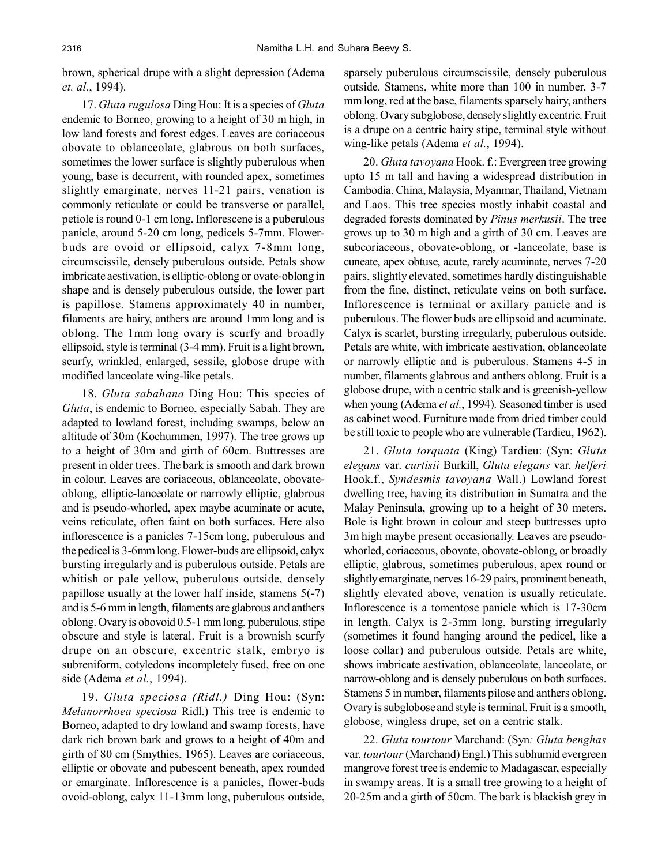brown, spherical drupe with a slight depression (Adema *et. al.*, 1994).

17. *Gluta rugulosa* Ding Hou: It is a species of *Gluta* endemic to Borneo, growing to a height of 30 m high, in low land forests and forest edges. Leaves are coriaceous obovate to oblanceolate, glabrous on both surfaces, sometimes the lower surface is slightly puberulous when young, base is decurrent, with rounded apex, sometimes slightly emarginate, nerves 11-21 pairs, venation is commonly reticulate or could be transverse or parallel, petiole is round 0-1 cm long. Inflorescene is a puberulous panicle, around 5-20 cm long, pedicels 5-7mm. Flowerbuds are ovoid or ellipsoid, calyx 7-8mm long, circumscissile, densely puberulous outside. Petals show imbricate aestivation, is elliptic-oblong or ovate-oblong in shape and is densely puberulous outside, the lower part is papillose. Stamens approximately 40 in number, filaments are hairy, anthers are around 1mm long and is oblong. The 1mm long ovary is scurfy and broadly ellipsoid, style is terminal (3-4 mm). Fruit is a light brown, scurfy, wrinkled, enlarged, sessile, globose drupe with modified lanceolate wing-like petals.

18. *Gluta sabahana* Ding Hou: This species of *Gluta*, is endemic to Borneo, especially Sabah. They are adapted to lowland forest, including swamps, below an altitude of 30m (Kochummen, 1997). The tree grows up to a height of 30m and girth of 60cm. Buttresses are present in older trees. The bark is smooth and dark brown in colour. Leaves are coriaceous, oblanceolate, obovateoblong, elliptic-lanceolate or narrowly elliptic, glabrous and is pseudo-whorled, apex maybe acuminate or acute, veins reticulate, often faint on both surfaces. Here also inflorescence is a panicles 7-15cm long, puberulous and the pedicel is 3-6mm long. Flower-buds are ellipsoid, calyx bursting irregularly and is puberulous outside. Petals are whitish or pale yellow, puberulous outside, densely papillose usually at the lower half inside, stamens 5(-7) and is 5-6 mm in length, filaments are glabrous and anthers oblong. Ovary is obovoid 0.5-1 mm long, puberulous, stipe obscure and style is lateral. Fruit is a brownish scurfy drupe on an obscure, excentric stalk, embryo is subreniform, cotyledons incompletely fused, free on one side (Adema *et al.*, 1994).

19. *Gluta speciosa (Ridl.)* Ding Hou: (Syn: *Melanorrhoea speciosa* Ridl.) This tree is endemic to Borneo, adapted to dry lowland and swamp forests, have dark rich brown bark and grows to a height of 40m and girth of 80 cm (Smythies, 1965). Leaves are coriaceous, elliptic or obovate and pubescent beneath, apex rounded or emarginate. Inflorescence is a panicles, flower-buds ovoid-oblong, calyx 11-13mm long, puberulous outside, sparsely puberulous circumscissile, densely puberulous outside. Stamens, white more than 100 in number, 3-7 mm long, red at the base, filaments sparsely hairy, anthers oblong. Ovary subglobose, densely slightly excentric. Fruit is a drupe on a centric hairy stipe, terminal style without wing-like petals (Adema *et al.*, 1994).

20. *Gluta tavoyana* Hook. f.: Evergreen tree growing upto 15 m tall and having a widespread distribution in Cambodia, China, Malaysia, Myanmar, Thailand, Vietnam and Laos. This tree species mostly inhabit coastal and degraded forests dominated by *Pinus merkusii*. The tree grows up to 30 m high and a girth of 30 cm. Leaves are subcoriaceous, obovate-oblong, or -lanceolate, base is cuneate, apex obtuse, acute, rarely acuminate, nerves 7-20 pairs, slightly elevated, sometimes hardly distinguishable from the fine, distinct, reticulate veins on both surface. Inflorescence is terminal or axillary panicle and is puberulous. The flower buds are ellipsoid and acuminate. Calyx is scarlet, bursting irregularly, puberulous outside. Petals are white, with imbricate aestivation, oblanceolate or narrowly elliptic and is puberulous. Stamens 4-5 in number, filaments glabrous and anthers oblong. Fruit is a globose drupe, with a centric stalk and is greenish-yellow when young (Adema *et al.*, 1994). Seasoned timber is used as cabinet wood. Furniture made from dried timber could be still toxic to people who are vulnerable (Tardieu, 1962).

21. *Gluta torquata* (King) Tardieu: (Syn: *Gluta elegans* var. *curtisii* Burkill, *Gluta elegans* var. *helferi* Hook.f., *Syndesmis tavoyana* Wall.) Lowland forest dwelling tree, having its distribution in Sumatra and the Malay Peninsula, growing up to a height of 30 meters. Bole is light brown in colour and steep buttresses upto 3m high maybe present occasionally. Leaves are pseudowhorled, coriaceous, obovate, obovate-oblong, or broadly elliptic, glabrous, sometimes puberulous, apex round or slightly emarginate, nerves 16-29 pairs, prominent beneath, slightly elevated above, venation is usually reticulate. Inflorescence is a tomentose panicle which is 17-30cm in length. Calyx is 2-3mm long, bursting irregularly (sometimes it found hanging around the pedicel, like a loose collar) and puberulous outside. Petals are white, shows imbricate aestivation, oblanceolate, lanceolate, or narrow-oblong and is densely puberulous on both surfaces. Stamens 5 in number, filaments pilose and anthers oblong. Ovary is subglobose and style is terminal. Fruit is a smooth, globose, wingless drupe, set on a centric stalk.

22. *Gluta tourtour* Marchand: (Syn*: Gluta benghas* var. *tourtour* (Marchand) Engl.) This subhumid evergreen mangrove forest tree is endemic to Madagascar, especially in swampy areas. It is a small tree growing to a height of 20-25m and a girth of 50cm. The bark is blackish grey in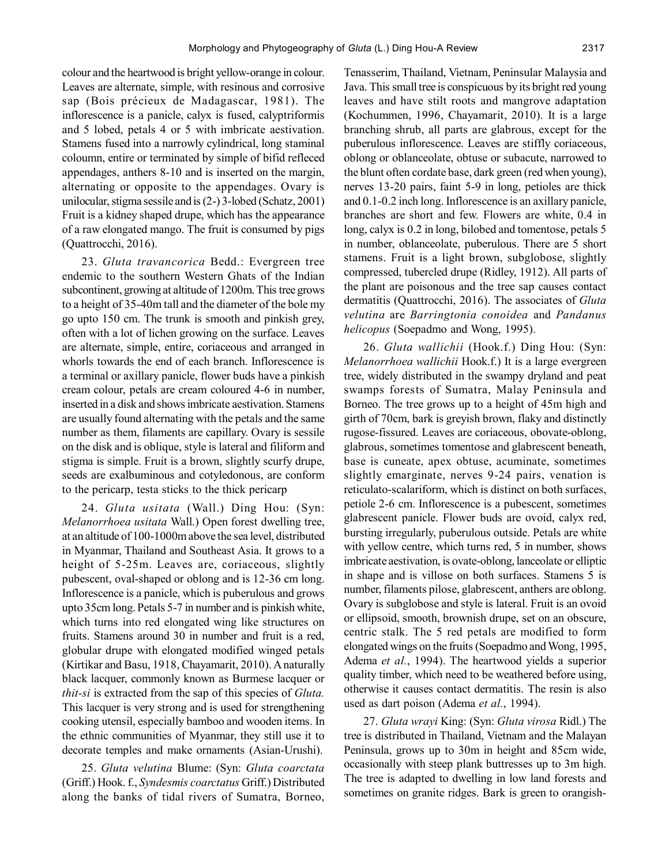colour and the heartwood is bright yellow-orange in colour. Leaves are alternate, simple, with resinous and corrosive sap (Bois précieux de Madagascar, 1981). The inflorescence is a panicle, calyx is fused, calyptriformis and 5 lobed, petals 4 or 5 with imbricate aestivation. Stamens fused into a narrowly cylindrical, long staminal coloumn, entire or terminated by simple of bifid refleced appendages, anthers 8-10 and is inserted on the margin, alternating or opposite to the appendages. Ovary is unilocular, stigma sessile and is (2-) 3-lobed (Schatz, 2001) Fruit is a kidney shaped drupe, which has the appearance of a raw elongated mango. The fruit is consumed by pigs (Quattrocchi, 2016).

23. *Gluta travancorica* Bedd.: Evergreen tree endemic to the southern Western Ghats of the Indian subcontinent, growing at altitude of 1200m. This tree grows to a height of 35-40m tall and the diameter of the bole my go upto 150 cm. The trunk is smooth and pinkish grey, often with a lot of lichen growing on the surface. Leaves are alternate, simple, entire, coriaceous and arranged in whorls towards the end of each branch. Inflorescence is a terminal or axillary panicle, flower buds have a pinkish cream colour, petals are cream coloured 4-6 in number, inserted in a disk and shows imbricate aestivation. Stamens are usually found alternating with the petals and the same number as them, filaments are capillary. Ovary is sessile on the disk and is oblique, style is lateral and filiform and stigma is simple. Fruit is a brown, slightly scurfy drupe, seeds are exalbuminous and cotyledonous, are conform to the pericarp, testa sticks to the thick pericarp

24. *Gluta usitata* (Wall.) Ding Hou: (Syn: *Melanorrhoea usitata* Wall.) Open forest dwelling tree, at an altitude of 100-1000m above the sea level, distributed in Myanmar, Thailand and Southeast Asia. It grows to a height of 5-25m. Leaves are, coriaceous, slightly pubescent, oval-shaped or oblong and is 12-36 cm long. Inflorescence is a panicle, which is puberulous and grows upto 35cm long. Petals 5-7 in number and is pinkish white, which turns into red elongated wing like structures on fruits. Stamens around 30 in number and fruit is a red, globular drupe with elongated modified winged petals (Kirtikar and Basu, 1918, Chayamarit, 2010). A naturally black lacquer, commonly known as Burmese lacquer or *thit-si* is extracted from the sap of this species of *Gluta.* This lacquer is very strong and is used for strengthening cooking utensil, especially bamboo and wooden items. In the ethnic communities of Myanmar, they still use it to decorate temples and make ornaments (Asian-Urushi).

25. *Gluta velutina* Blume: (Syn: *Gluta coarctata* (Griff.) Hook. f., *Syndesmis coarctatus* Griff.) Distributed along the banks of tidal rivers of Sumatra, Borneo, Tenasserim, Thailand, Vietnam, Peninsular Malaysia and Java. This small tree is conspicuous by its bright red young leaves and have stilt roots and mangrove adaptation (Kochummen, 1996, Chayamarit, 2010). It is a large branching shrub, all parts are glabrous, except for the puberulous inflorescence. Leaves are stiffly coriaceous, oblong or oblanceolate, obtuse or subacute, narrowed to the blunt often cordate base, dark green (red when young), nerves 13-20 pairs, faint 5-9 in long, petioles are thick and 0.1-0.2 inch long. Inflorescence is an axillary panicle, branches are short and few. Flowers are white, 0.4 in long, calyx is 0.2 in long, bilobed and tomentose, petals 5 in number, oblanceolate, puberulous. There are 5 short stamens. Fruit is a light brown, subglobose, slightly compressed, tubercled drupe (Ridley, 1912). All parts of the plant are poisonous and the tree sap causes contact dermatitis (Quattrocchi, 2016). The associates of *Gluta velutina* are *Barringtonia conoidea* and *Pandanus helicopus* (Soepadmo and Wong, 1995).

26. *Gluta wallichii* (Hook.f.) Ding Hou: (Syn: *Melanorrhoea wallichii* Hook.f.) It is a large evergreen tree, widely distributed in the swampy dryland and peat swamps forests of Sumatra, Malay Peninsula and Borneo. The tree grows up to a height of 45m high and girth of 70cm, bark is greyish brown, flaky and distinctly rugose-fissured. Leaves are coriaceous, obovate-oblong, glabrous, sometimes tomentose and glabrescent beneath, base is cuneate, apex obtuse, acuminate, sometimes slightly emarginate, nerves 9-24 pairs, venation is reticulato-scalariform, which is distinct on both surfaces, petiole 2-6 cm. Inflorescence is a pubescent, sometimes glabrescent panicle. Flower buds are ovoid, calyx red, bursting irregularly, puberulous outside. Petals are white with yellow centre, which turns red, 5 in number, shows imbricate aestivation, is ovate-oblong, lanceolate or elliptic in shape and is villose on both surfaces. Stamens 5 is number, filaments pilose, glabrescent, anthers are oblong. Ovary is subglobose and style is lateral. Fruit is an ovoid or ellipsoid, smooth, brownish drupe, set on an obscure, centric stalk. The 5 red petals are modified to form elongated wings on the fruits (Soepadmo and Wong, 1995, Adema *et al.*, 1994). The heartwood yields a superior quality timber, which need to be weathered before using, otherwise it causes contact dermatitis. The resin is also used as dart poison (Adema *et al.*, 1994).

27. *Gluta wrayi* King: (Syn: *Gluta virosa* Ridl.) The tree is distributed in Thailand, Vietnam and the Malayan Peninsula, grows up to 30m in height and 85cm wide, occasionally with steep plank buttresses up to 3m high. The tree is adapted to dwelling in low land forests and sometimes on granite ridges. Bark is green to orangish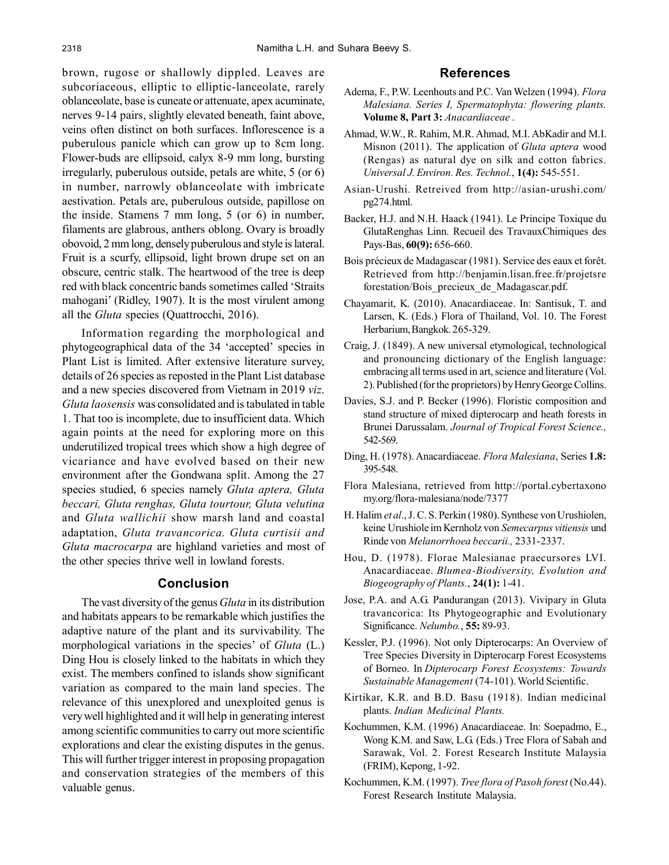brown, rugose or shallowly dippled. Leaves are subcoriaceous, elliptic to elliptic-lanceolate, rarely oblanceolate, base is cuneate or attenuate, apex acuminate, nerves 9-14 pairs, slightly elevated beneath, faint above, veins often distinct on both surfaces. Inflorescence is a puberulous panicle which can grow up to 8cm long. Flower-buds are ellipsoid, calyx 8-9 mm long, bursting irregularly, puberulous outside, petals are white, 5 (or 6) in number, narrowly oblanceolate with imbricate aestivation. Petals are, puberulous outside, papillose on the inside. Stamens 7 mm long, 5 (or 6) in number, filaments are glabrous, anthers oblong. Ovary is broadly obovoid, 2 mm long, densely puberulous and style is lateral. Fruit is a scurfy, ellipsoid, light brown drupe set on an obscure, centric stalk. The heartwood of the tree is deep red with black concentric bands sometimes called 'Straits mahogani' (Ridley, 1907). It is the most virulent among all the *Gluta* species (Quattrocchi, 2016).

Information regarding the morphological and phytogeographical data of the 34 'accepted' species in Plant List is limited. After extensive literature survey, details of 26 species as reposted in the Plant List database and a new species discovered from Vietnam in 2019 *viz*. *Gluta laosensis* was consolidated and is tabulated in table 1. That too is incomplete, due to insufficient data. Which again points at the need for exploring more on this underutilized tropical trees which show a high degree of vicariance and have evolved based on their new environment after the Gondwana split. Among the 27 species studied, 6 species namely *Gluta aptera, Gluta beccari, Gluta renghas, Gluta tourtour, Gluta velutina* and *Gluta wallichii* show marsh land and coastal adaptation, *Gluta travancorica. Gluta curtisii and Gluta macrocarpa* are highland varieties and most of the other species thrive well in lowland forests.

### **Conclusion**

The vast diversity of the genus *Gluta* in its distribution and habitats appears to be remarkable which justifies the adaptive nature of the plant and its survivability. The morphological variations in the species' of *Gluta* (L.) Ding Hou is closely linked to the habitats in which they exist. The members confined to islands show significant variation as compared to the main land species. The relevance of this unexplored and unexploited genus is very well highlighted and it will help in generating interest among scientific communities to carry out more scientific explorations and clear the existing disputes in the genus. This will further trigger interest in proposing propagation and conservation strategies of the members of this valuable genus.

# **References**

- Adema, F., P.W. Leenhouts and P.C. Van Welzen (1994). *Flora Malesiana. Series I, Spermatophyta: flowering plants.* **Volume 8, Part 3:** *Anacardiaceae* .
- Ahmad, W.W., R. Rahim, M.R. Ahmad, M.I. AbKadir and M.I. Misnon (2011). The application of *Gluta aptera* wood (Rengas) as natural dye on silk and cotton fabrics. *Universal J. Environ. Res. Technol.*, **1(4):** 545-551.
- Asian-Urushi. Retreived from http://asian-urushi.com/ pg274.html.
- Backer, H.J. and N.H. Haack (1941). Le Principe Toxique du GlutaRenghas Linn. Recueil des TravauxChimiques des Pays-Bas, **60(9):** 656-660.
- Bois précieux de Madagascar (1981). Service des eaux et forêt. Retrieved from http://benjamin.lisan.free.fr/projetsre forestation/Bois\_precieux\_de\_Madagascar.pdf.
- Chayamarit, K. (2010). Anacardiaceae. In: Santisuk, T. and Larsen, K. (Eds.) Flora of Thailand, Vol. 10. The Forest Herbarium, Bangkok. 265-329.
- Craig, J. (1849). A new universal etymological, technological and pronouncing dictionary of the English language: embracing all terms used in art, science and literature (Vol. 2). Published (for the proprietors) by Henry George Collins.
- Davies, S.J. and P. Becker (1996). Floristic composition and stand structure of mixed dipterocarp and heath forests in Brunei Darussalam. *Journal of Tropical Forest Science.,* 542-569.
- Ding, H. (1978). Anacardiaceae. *Flora Malesiana*, Series **1.8:** 395-548.
- Flora Malesiana, retrieved from http://portal.cybertaxono my.org/flora-malesiana/node/7377
- H. Halim *et al*., J. C. S. Perkin (1980). Synthese von Urushiolen, keine Urushiole im Kernholz von *Semecarpus vitiensis* und Rinde von *Melanorrhoea beccarii.,* 2331-2337.
- Hou, D. (1978). Florae Malesianae praecursores LVI. Anacardiaceae. *Blumea-Biodiversity, Evolution and Biogeography of Plants.*, **24(1):** 1-41.
- Jose, P.A. and A.G. Pandurangan (2013). Vivipary in Gluta travancorica: Its Phytogeographic and Evolutionary Significance. *Nelumbo.*, **55:** 89-93.
- Kessler, P.J. (1996). Not only Dipterocarps: An Overview of Tree Species Diversity in Dipterocarp Forest Ecosystems of Borneo. In *Dipterocarp Forest Ecosystems: Towards Sustainable Management* (74-101). World Scientific.
- Kirtikar, K.R. and B.D. Basu (1918). Indian medicinal plants. *Indian Medicinal Plants.*
- Kochummen, K.M. (1996) Anacardiaceae. In: Soepadmo, E., Wong K.M. and Saw, L.G. (Eds.) Tree Flora of Sabah and Sarawak, Vol. 2. Forest Research Institute Malaysia (FRIM), Kepong, 1-92.
- Kochummen, K.M. (1997). *Tree flora of Pasoh forest* (No.44). Forest Research Institute Malaysia.